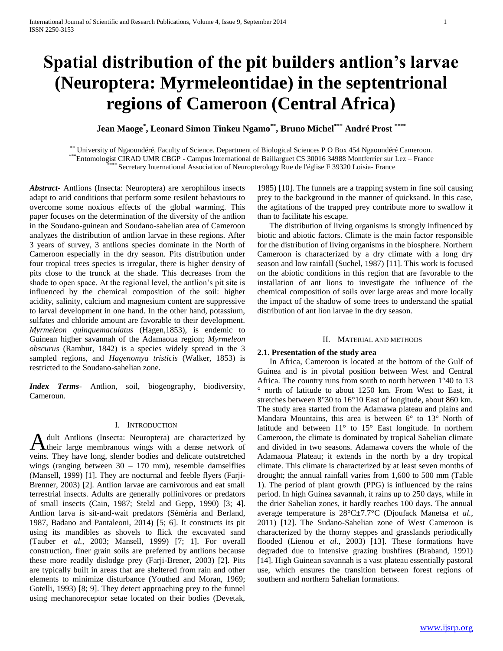# **Spatial distribution of the pit builders antlion's larvae (Neuroptera: Myrmeleontidae) in the septentrional regions of Cameroon (Central Africa)**

**Jean Maoge\* , Leonard Simon Tinkeu Ngamo\*\*, Bruno Michel\*\*\* André Prost \*\*\*\***

\*\* University of Ngaoundéré, Faculty of Science. Department of Biological Sciences P O Box 454 Ngaoundéré Cameroon. \*\*\*Entomologist CIRAD UMR CBGP - Campus International de Baillarguet CS 30016 34988 Montferrier sur Lez – France

Secretary International Association of Neuropterology Rue de l'église F 39320 Loisia- France

*Abstract***-** Antlions (Insecta: Neuroptera) are xerophilous insects adapt to arid conditions that perform some resilent behaviours to overcome some noxious effects of the global warming. This paper focuses on the determination of the diversity of the antlion in the Soudano-guinean and Soudano-sahelian area of Cameroon analyzes the distribution of antlion larvae in these regions. After 3 years of survey, 3 antlions species dominate in the North of Cameroon especially in the dry season. Pits distribution under four tropical trees species is irregular, there is higher density of pits close to the trunck at the shade. This decreases from the shade to open space. At the regional level, the antlion's pit site is influenced by the chemical composition of the soil: higher acidity, salinity, calcium and magnesium content are suppressive to larval development in one hand. In the other hand, potassium, sulfates and chloride amount are favorable to their development. *Myrmeleon quinquemaculatus* (Hagen,1853), is endemic to Guinean higher savannah of the Adamaoua region; *Myrmeleon obscurus* (Rambur, 1842) is a species widely spread in the 3 sampled regions, and *Hagenomya tristicis* (Walker, 1853) is restricted to the Soudano-sahelian zone.

*Index Terms*- Antlion, soil, biogeography, biodiversity, Cameroun.

## I. INTRODUCTION

dult Antlions (Insecta: Neuroptera) are characterized by A dult Antlions (Insecta: Neuroptera) are characterized by their large membranous wings with a dense network of veins. They have long, slender bodies and delicate outstretched wings (ranging between  $30 - 170$  mm), resemble damselflies (Mansell, 1999) [1]. They are nocturnal and feeble flyers (Farji-Brenner, 2003) [2]. Antlion larvae are carnivorous and eat small terrestrial insects. Adults are generally pollinivores or predators of small insects (Cain, 1987; Stelzl and Gepp, 1990) [3; 4]. Antlion larva is sit-and-wait predators (Séméria and Berland, 1987, Badano and Pantaleoni, 2014) [5; 6]. It constructs its pit using its mandibles as shovels to flick the excavated sand (Tauber *et al.,* 2003; Mansell, 1999) [7; 1]. For overall construction, finer grain soils are preferred by antlions because these more readily dislodge prey (Farji-Brener, 2003) [2]. Pits are typically built in areas that are sheltered from rain and other elements to minimize disturbance (Youthed and Moran, 1969; Gotelli, 1993) [8; 9]. They detect approaching prey to the funnel using mechanoreceptor setae located on their bodies (Devetak,

1985) [10]. The funnels are a trapping system in fine soil causing prey to the background in the manner of quicksand. In this case, the agitations of the trapped prey contribute more to swallow it than to facilitate his escape.

 The distribution of living organisms is strongly influenced by biotic and abiotic factors. Climate is the main factor responsible for the distribution of living organisms in the biosphere. Northern Cameroon is characterized by a dry climate with a long dry season and low rainfall (Suchel, 1987) [11]. This work is focused on the abiotic conditions in this region that are favorable to the installation of ant lions to investigate the influence of the chemical composition of soils over large areas and more locally the impact of the shadow of some trees to understand the spatial distribution of ant lion larvae in the dry season.

### II. MATERIAL AND METHODS

# **2.1. Presentation of the study area**

 In Africa, Cameroon is located at the bottom of the Gulf of Guinea and is in pivotal position between West and Central Africa. The country runs from south to north between 1°40 to 13 ° north of latitude to about 1250 km. From West to East, it stretches between 8°30 to 16°10 East of longitude, about 860 km. The study area started from the Adamawa plateau and plains and Mandara Mountains, this area is between 6° to 13° North of latitude and between 11° to 15° East longitude. In northern Cameroon, the climate is dominated by tropical Sahelian climate and divided in two seasons. Adamawa covers the whole of the Adamaoua Plateau; it extends in the north by a dry tropical climate. This climate is characterized by at least seven months of drought; the annual rainfall varies from 1,600 to 500 mm (Table 1). The period of plant growth (PPG) is influenced by the rains period. In high Guinea savannah, it rains up to 250 days, while in the drier Sahelian zones, it hardly reaches 100 days. The annual average temperature is 28°C±7.7°C (Djoufack Manetsa *et al.,*  2011) [12]. The Sudano-Sahelian zone of West Cameroon is characterized by the thorny steppes and grasslands periodically flooded (Lienou *et al.,* 2003) [13]. These formations have degraded due to intensive grazing bushfires (Braband, 1991) [14]. High Guinean savannah is a vast plateau essentially pastoral use, which ensures the transition between forest regions of southern and northern Sahelian formations.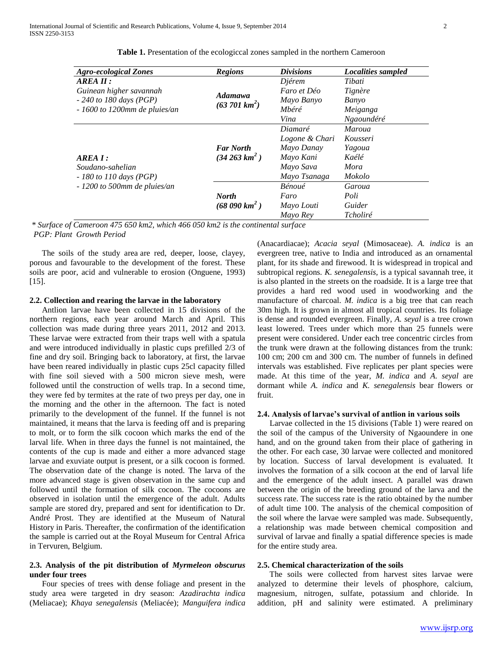| <b>Agro-ecological Zones</b>   | <b>Regions</b>            | <b>Divisions</b> | <b>Localities sampled</b> |
|--------------------------------|---------------------------|------------------|---------------------------|
| $AREA$ $II$ :                  |                           | Djérem           | Tibati                    |
| Guinean higher savannah        | <b>Adamawa</b>            | Faro et Déo      | Tignère                   |
| $-240$ to 180 days (PGP)       | $(63\,701\,km^2)$         | Mayo Banyo       | Banyo                     |
| $-1600$ to 1200mm de pluies/an |                           | Mbéré            | Meiganga                  |
|                                |                           | Vina             | Ngaoundéré                |
|                                |                           | Diamaré          | <i>Maroua</i>             |
|                                |                           | Logone & Chari   | Kousseri                  |
|                                | <b>Far North</b>          | Mayo Danay       | Yagoua                    |
| AREA 1:                        | $(34\,263\,km^2)$         | Mayo Kani        | Kaélé                     |
| Soudano-sahelian               |                           | Mayo Sava        | Mora                      |
| $-180$ to 110 days (PGP)       |                           | Mayo Tsanaga     | Mokolo                    |
| $-1200$ to 500mm de pluies/an  |                           | Bénoué           | Garoua                    |
|                                | <b>North</b>              | Faro             | Poli                      |
|                                | (68 090 km <sup>2</sup> ) | Mayo Louti       | Guider                    |
|                                |                           | Mayo Rey         | Tcholiré                  |

**Table 1.** Presentation of the ecologiccal zones sampled in the northern Cameroon

*\* Surface of Cameroon 475 650 km2, which 466 050 km2 is the continental surface PGP: Plant Growth Period*

 The soils of the study area are red, deeper, loose, clayey, porous and favourable to the development of the forest. These soils are poor, acid and vulnerable to erosion (Onguene, 1993)  $[15]$ .

# **2.2. Collection and rearing the larvae in the laboratory**

 Antlion larvae have been collected in 15 divisions of the northern regions, each year around March and April. This collection was made during three years 2011, 2012 and 2013. These larvae were extracted from their traps well with a spatula and were introduced individually in plastic cups prefilled 2/3 of fine and dry soil. Bringing back to laboratory, at first, the larvae have been reared individually in plastic cups 25cl capacity filled with fine soil sieved with a 500 micron sieve mesh, were followed until the construction of wells trap. In a second time, they were fed by termites at the rate of two preys per day, one in the morning and the other in the afternoon. The fact is noted primarily to the development of the funnel. If the funnel is not maintained, it means that the larva is feeding off and is preparing to molt, or to form the silk cocoon which marks the end of the larval life. When in three days the funnel is not maintained, the contents of the cup is made and either a more advanced stage larvae and exuviate output is present, or a silk cocoon is formed. The observation date of the change is noted. The larva of the more advanced stage is given observation in the same cup and followed until the formation of silk cocoon. The cocoons are observed in isolation until the emergence of the adult. Adults sample are stored dry, prepared and sent for identification to Dr. André Prost. They are identified at the Museum of Natural History in Paris. Thereafter, the confirmation of the identification the sample is carried out at the Royal Museum for Central Africa in Tervuren, Belgium.

# **2.3. Analysis of the pit distribution of** *Myrmeleon obscurus* **under four trees**

 Four species of trees with dense foliage and present in the study area were targeted in dry season: *Azadirachta indica* (Meliacae); *Khaya senegalensis* (Meliacée); *Manguifera indica* 

(Anacardiacae); *Acacia seyal* (Mimosaceae). *A. indica* is an evergreen tree, native to India and introduced as an ornamental plant, for its shade and firewood. It is widespread in tropical and subtropical regions. *K. senegalensis,* is a typical savannah tree, it is also planted in the streets on the roadside. It is a large tree that provides a hard red wood used in woodworking and the manufacture of charcoal. *M. indica* is a big tree that can reach 30m high. It is grown in almost all tropical countries. Its foliage is dense and rounded evergreen. Finally, *A. seyal* is a tree crown least lowered. Trees under which more than 25 funnels were present were considered. Under each tree concentric circles from the trunk were drawn at the following distances from the trunk: 100 cm; 200 cm and 300 cm. The number of funnels in defined intervals was established. Five replicates per plant species were made. At this time of the year, *M. indica* and *A. seyal* are dormant while *A. indica* and *K. senegalensis* bear flowers or fruit.

#### **2.4. Analysis of larvae's survival of antlion in various soils**

 Larvae collected in the 15 divisions (Table 1) were reared on the soil of the campus of the University of Ngaoundere in one hand, and on the ground taken from their place of gathering in the other. For each case, 30 larvae were collected and monitored by location. Success of larval development is evaluated. It involves the formation of a silk cocoon at the end of larval life and the emergence of the adult insect. A parallel was drawn between the origin of the breeding ground of the larva and the success rate. The success rate is the ratio obtained by the number of adult time 100. The analysis of the chemical composition of the soil where the larvae were sampled was made. Subsequently, a relationship was made between chemical composition and survival of larvae and finally a spatial difference species is made for the entire study area.

# **2.5. Chemical characterization of the soils**

 The soils were collected from harvest sites larvae were analyzed to determine their levels of phosphore, calcium, magnesium, nitrogen, sulfate, potassium and chloride. In addition, pH and salinity were estimated. A preliminary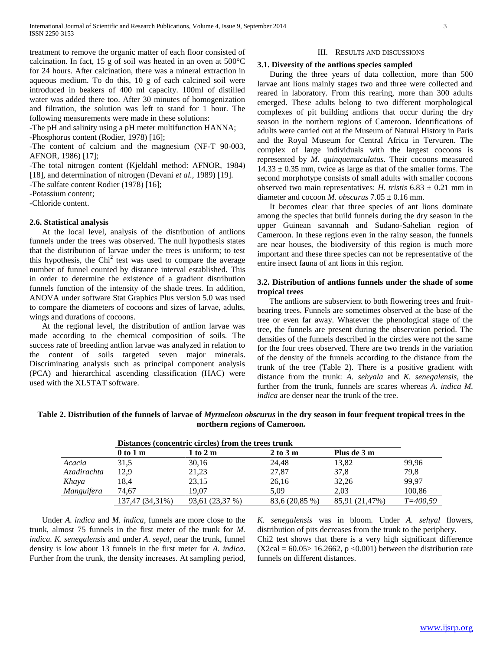treatment to remove the organic matter of each floor consisted of calcination. In fact, 15 g of soil was heated in an oven at 500°C for 24 hours. After calcination, there was a mineral extraction in aqueous medium. To do this, 10 g of each calcined soil were introduced in beakers of 400 ml capacity. 100ml of distilled water was added there too. After 30 minutes of homogenization and filtration, the solution was left to stand for 1 hour. The following measurements were made in these solutions:

-The pH and salinity using a pH meter multifunction HANNA;

-Phosphorus content (Rodier, 1978) [16];

-The content of calcium and the magnesium (NF-T 90-003, AFNOR, 1986) [17];

-The total nitrogen content (Kjeldahl method: AFNOR, 1984) [18], and determination of nitrogen (Devani *et al.,* 1989) [19].

-The sulfate content Rodier (1978) [16];

-Potassium content;

-Chloride content.

### **2.6. Statistical analysis**

 At the local level, analysis of the distribution of antlions funnels under the trees was observed. The null hypothesis states that the distribution of larvae under the trees is uniform; to test this hypothesis, the Chi<sup>2</sup> test was used to compare the average number of funnel counted by distance interval established. This in order to determine the existence of a gradient distribution funnels function of the intensity of the shade trees. In addition, ANOVA under software Stat Graphics Plus version 5.0 was used to compare the diameters of cocoons and sizes of larvae, adults, wings and durations of cocoons.

 At the regional level, the distribution of antlion larvae was made according to the chemical composition of soils. The success rate of breeding antlion larvae was analyzed in relation to the content of soils targeted seven major minerals. Discriminating analysis such as principal component analysis (PCA) and hierarchical ascending classification (HAC) were used with the XLSTAT software.

#### III. RESULTS AND DISCUSSIONS

## **3.1. Diversity of the antlions species sampled**

 During the three years of data collection, more than 500 larvae ant lions mainly stages two and three were collected and reared in laboratory. From this rearing, more than 300 adults emerged. These adults belong to two different morphological complexes of pit building antlions that occur during the dry season in the northern regions of Cameroon. Identifications of adults were carried out at the Museum of Natural History in Paris and the Royal Museum for Central Africa in Tervuren. The complex of large individuals with the largest cocoons is represented by *M. quinquemaculatus*. Their cocoons measured  $14.33 \pm 0.35$  mm, twice as large as that of the smaller forms. The second morphotype consists of small adults with smaller cocoons observed two main representatives: *H. tristis*  $6.83 \pm 0.21$  mm in diameter and cocoon *M. obscurus*  $7.05 \pm 0.16$  mm.

 It becomes clear that three species of ant lions dominate among the species that build funnels during the dry season in the upper Guinean savannah and Sudano-Sahelian region of Cameroon. In these regions even in the rainy season, the funnels are near houses, the biodiversity of this region is much more important and these three species can not be representative of the entire insect fauna of ant lions in this region.

# **3.2. Distribution of antlions funnels under the shade of some tropical trees**

 The antlions are subservient to both flowering trees and fruitbearing trees. Funnels are sometimes observed at the base of the tree or even far away. Whatever the phenological stage of the tree, the funnels are present during the observation period. The densities of the funnels described in the circles were not the same for the four trees observed. There are two trends in the variation of the density of the funnels according to the distance from the trunk of the tree (Table 2). There is a positive gradient with distance from the trunk: *A. sehyala* and *K. senegalensis*, the further from the trunk, funnels are scares whereas *A. indica M. indica* are denser near the trunk of the tree.

**Table 2. Distribution of the funnels of larvae of** *Myrmeleon obscurus* **in the dry season in four frequent tropical trees in the northern regions of Cameroon.**

|  | Distances (concentric circles) from the trees trunk |  |  |  |  |  |
|--|-----------------------------------------------------|--|--|--|--|--|
|--|-----------------------------------------------------|--|--|--|--|--|

|             | $0$ to $1m$     | 1 to 2 m        | $2 \text{ to } 3 \text{ m}$ | Plus de 3 m    |              |
|-------------|-----------------|-----------------|-----------------------------|----------------|--------------|
| Acacia      | 31,5            | 30,16           | 24,48                       | 13,82          | 99,96        |
| Azadirachta | 12,9            | 21,23           | 27,87                       | 37,8           | 79,8         |
| Khaya       | 18,4            | 23,15           | 26,16                       | 32,26          | 99,97        |
| Manguifera  | 74.67           | 19.07           | 5.09                        | 2.03           | 100.86       |
|             | 137,47 (34,31%) | 93,61 (23,37 %) | 83,6 (20,85 %)              | 85,91 (21,47%) | $T = 400.59$ |

 Under *A. indica* and *M. indica,* funnels are more close to the trunk, almost 75 funnels in the first meter of the trunk for *M. indica. K. senegalensis* and under *A. seyal*, near the trunk, funnel density is low about 13 funnels in the first meter for *A. indica*. Further from the trunk, the density increases. At sampling period, *K. senegalensis* was in bloom. Under *A. sehyal* flowers, distribution of pits decreases from the trunk to the periphery. Chi2 test shows that there is a very high significant difference  $(X2cal = 60.05 > 16.2662, p < 0.001)$  between the distribution rate funnels on different distances.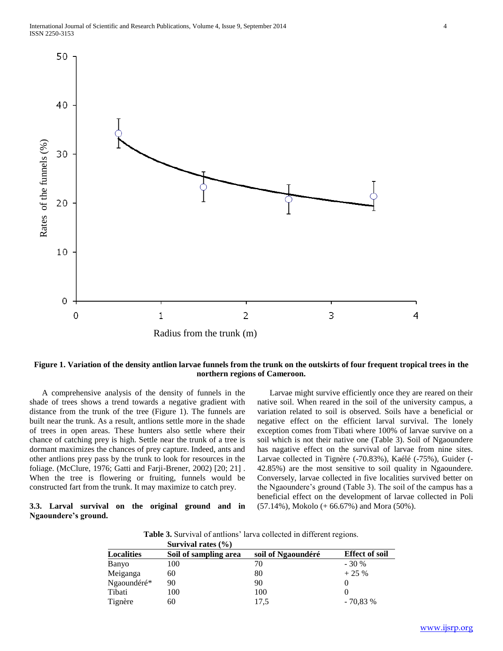

# **Figure 1. Variation of the density antlion larvae funnels from the trunk on the outskirts of four frequent tropical trees in the northern regions of Cameroon.**

 A comprehensive analysis of the density of funnels in the shade of trees shows a trend towards a negative gradient with distance from the trunk of the tree (Figure 1). The funnels are built near the trunk. As a result, antlions settle more in the shade of trees in open areas. These hunters also settle where their chance of catching prey is high. Settle near the trunk of a tree is dormant maximizes the chances of prey capture. Indeed, ants and other antlions prey pass by the trunk to look for resources in the foliage. (McClure, 1976; Gatti and Farji-Brener, 2002) [20; 21] . When the tree is flowering or fruiting, funnels would be constructed fart from the trunk. It may maximize to catch prey.

# **3.3. Larval survival on the original ground and in Ngaoundere's ground.**

 Larvae might survive efficiently once they are reared on their native soil. When reared in the soil of the university campus, a variation related to soil is observed. Soils have a beneficial or negative effect on the efficient larval survival. The lonely exception comes from Tibati where 100% of larvae survive on a soil which is not their native one (Table 3). Soil of Ngaoundere has nagative effect on the survival of larvae from nine sites. Larvae collected in Tignère (-70.83%), Kaélé (-75%), Guider (- 42.85%) are the most sensitive to soil quality in Ngaoundere. Conversely, larvae collected in five localities survived better on the Ngaoundere's ground (Table 3). The soil of the campus has a beneficial effect on the development of larvae collected in Poli (57.14%), Mokolo (+ 66.67%) and Mora (50%).

**Table 3.** Survival of antlions' larva collected in different regions.

|                   | Survival rates $(\% )$ |                    |                       |
|-------------------|------------------------|--------------------|-----------------------|
| <b>Localities</b> | Soil of sampling area  | soil of Ngaoundéré | <b>Effect of soil</b> |
| Banyo             | 100                    | 70                 | $-30%$                |
| Meiganga          | 60                     | 80                 | $+25%$                |
| Ngaoundéré*       | 90                     | 90                 |                       |
| Tibati            | 100                    | 100                |                       |
| Tignère           | 60                     | 17.5               | $-70.83%$             |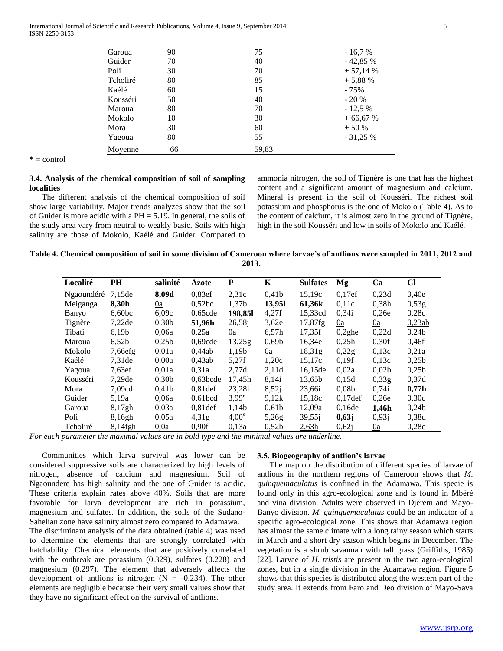International Journal of Scientific and Research Publications, Volume 4, Issue 9, September 2014 5 ISSN 2250-3153

| Garoua   | 90 | 75    | $-16.7%$  |
|----------|----|-------|-----------|
| Guider   | 70 | 40    | $-42,85%$ |
| Poli     | 30 | 70    | $+57,14%$ |
| Tcholiré | 80 | 85    | $+5,88%$  |
| Kaélé    | 60 | 15    | $-75%$    |
| Kousséri | 50 | 40    | $-20%$    |
| Maroua   | 80 | 70    | $-12,5%$  |
| Mokolo   | 10 | 30    | $+66,67%$ |
| Mora     | 30 | 60    | $+50%$    |
| Yagoua   | 80 | 55    | $-31,25%$ |
| Moyenne  | 66 | 59,83 |           |

**\* =** control

# **3.4. Analysis of the chemical composition of soil of sampling localities**

 The different analysis of the chemical composition of soil show large variability. Major trends analyzes show that the soil of Guider is more acidic with a PH = 5.19. In general, the soils of the study area vary from neutral to weakly basic. Soils with high salinity are those of Mokolo, Kaélé and Guider. Compared to

ammonia nitrogen, the soil of Tignère is one that has the highest content and a significant amount of magnesium and calcium. Mineral is present in the soil of Kousséri. The richest soil potassium and phosphorus is the one of Mokolo (Table 4). As to the content of calcium, it is almost zero in the ground of Tignère, high in the soil Kousséri and low in soils of Mokolo and Kaélé.

| Table 4. Chemical composition of soil in some division of Cameroon where larvae's of antlions were sampled in 2011, 2012 and |  |
|------------------------------------------------------------------------------------------------------------------------------|--|
| 2013.                                                                                                                        |  |

| Localité   | PH                 | salinité          | <b>Azote</b>        | P                 | K                 | <b>Sulfates</b> | Mg                  | Ca                | <b>CI</b>         |
|------------|--------------------|-------------------|---------------------|-------------------|-------------------|-----------------|---------------------|-------------------|-------------------|
| Ngaoundéré | 7.15 <sub>de</sub> | 8,09d             | 0,83ef              | 2,31c             | 0,41b             | 15,19c          | 0,17ef              | 0,23d             | 0,40e             |
| Meiganga   | 8.30h              | 0a                | 0,52bc              | 1,37b             | 13,95l            | 61,36k          | 0.11c               | 0.38 <sub>h</sub> | 0,53g             |
| Banyo      | 6,60bc             | 6,09c             | 0.65cde             | 198,85l           | 4,27f             | 15,33cd         | 0,34i               | 0.26e             | 0,28c             |
| Tignère    | 7,22de             | 0.30 <sub>b</sub> | 51,96h              | 26,58j            | 3,62e             | 17,87fg         | 0a                  | 0a                | 0,23ab            |
| Tibati     | 6,19b              | 0.06a             | 0,25a               | 0a                | 6.57 <sub>h</sub> | 17,35f          | $0,2$ ghe           | 0,22d             | 0,24b             |
| Maroua     | 6,52b              | 0.25 <sub>b</sub> | 0,69cde             | 13,25g            | 0.69 <sub>b</sub> | 16,34e          | 0,25h               | 0.30f             | 0,46f             |
| Mokolo     | 7,66efg            | 0.01a             | 0.44ab              | 1,19b             | 0a                | 18.31g          | 0,22g               | 0.13c             | 0,21a             |
| Kaélé      | 7.31 <sub>de</sub> | 0.00a             | 0.43ab              | 5,27f             | 1,20c             | 15,17c          | 0.19f               | 0.13c             | 0.25 <sub>b</sub> |
| Yagoua     | 7,63ef             | 0.01a             | 0.31a               | 2,77d             | 2,11d             | 16,15de         | 0,02a               | 0,02b             | 0.25 <sub>b</sub> |
| Kousséri   | 7,29de             | 0,30 <sub>b</sub> | $0.63$ bcde         | 17,45h            | 8,14i             | 13,65b          | 0,15d               | 0.33g             | 0,37d             |
| Mora       | 7,09cd             | 0.41 <sub>b</sub> | $0.81$ def          | 23,28i            | 8,52j             | 23,66i          | 0.08 <sub>b</sub>   | 0,74i             | 0,77h             |
| Guider     | 5,19a              | 0.06a             | 0.61 <sub>bcd</sub> | $3,99^e$          | 9,12k             | 15,18c          | 0.17 <sub>def</sub> | 0.26e             | 0.30c             |
| Garoua     | 8,17gh             | 0.03a             | $0.81$ def          | 1.14 <sub>b</sub> | 0,61b             | 12,09a          | 0.16de              | 1,46h             | 0,24b             |
| Poli       | 8,16gh             | 0.05a             | 4,31g               | $4,00^e$          | 5,26g             | 39,55j          | 0,63j               | 0,93j             | 0.38d             |
| Tcholiré   | $8,14$ fgh         | 0.0a              | 0,90f               | 0,13a             | 0,52b             | 2,63h           | 0,62j               | 0a                | 0,28c             |

*For each parameter the maximal values are in bold type and the minimal values are underline.*

 Communities which larva survival was lower can be considered suppressive soils are characterized by high levels of nitrogen, absence of calcium and magnesium. Soil of Ngaoundere has high salinity and the one of Guider is acidic. These criteria explain rates above 40%. Soils that are more favorable for larva development are rich in potassium, magnesium and sulfates. In addition, the soils of the Sudano-Sahelian zone have salinity almost zero compared to Adamawa. The discriminant analysis of the data obtained (table 4) was used to determine the elements that are strongly correlated with hatchability. Chemical elements that are positively correlated with the outbreak are potassium (0.329), sulfates (0.228) and magnesium (0.297). The element that adversely affects the development of antlions is nitrogen  $(N = -0.234)$ . The other elements are negligible because their very small values show that

they have no significant effect on the survival of antlions.

#### **3.5. Biogeography of antlion's larvae**

 The map on the distribution of different species of larvae of antlions in the northern regions of Cameroon shows that *M. quinquemaculatus* is confined in the Adamawa. This specie is found only in this agro-ecological zone and is found in Mbéré and vina division. Adults were observed in Djérem and Mayo-Banyo division. *M. quinquemaculatus* could be an indicator of a specific agro-ecological zone. This shows that Adamawa region has almost the same climate with a long rainy season which starts in March and a short dry season which begins in December. The vegetation is a shrub savannah with tall grass (Griffiths, 1985) [22]. Larvae of *H. tristis* are present in the two agro-ecological zones, but in a single division in the Adamawa region. Figure 5 shows that this species is distributed along the western part of the study area. It extends from Faro and Deo division of Mayo-Sava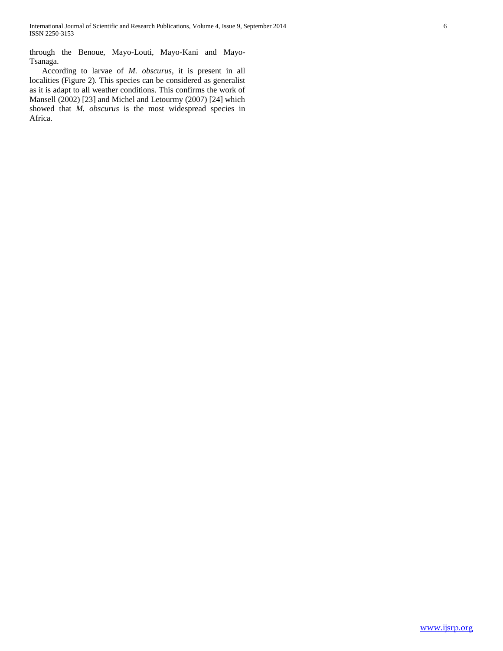through the Benoue, Mayo-Louti, Mayo-Kani and Mayo-Tsanaga.

 According to larvae of *M. obscurus*, it is present in all localities (Figure 2). This species can be considered as generalist as it is adapt to all weather conditions. This confirms the work of Mansell (2002) [23] and Michel and Letourmy (2007) [24] which showed that *M. obscurus* is the most widespread species in Africa.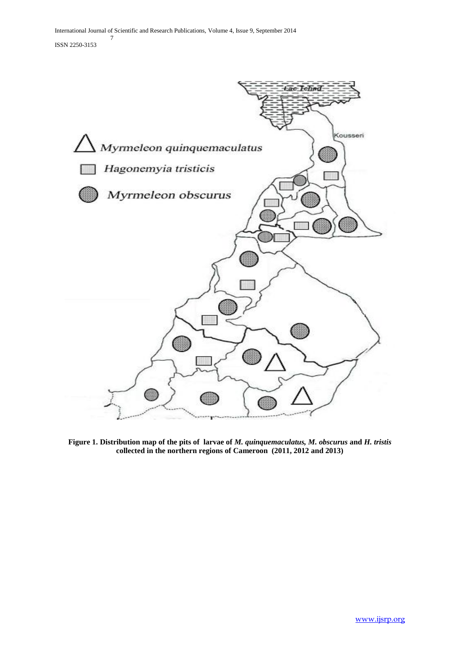

**Figure 1. Distribution map of the pits of larvae of** *M. quinquemaculatus, M. obscurus* **and** *H. tristis* **collected in the northern regions of Cameroon (2011, 2012 and 2013)**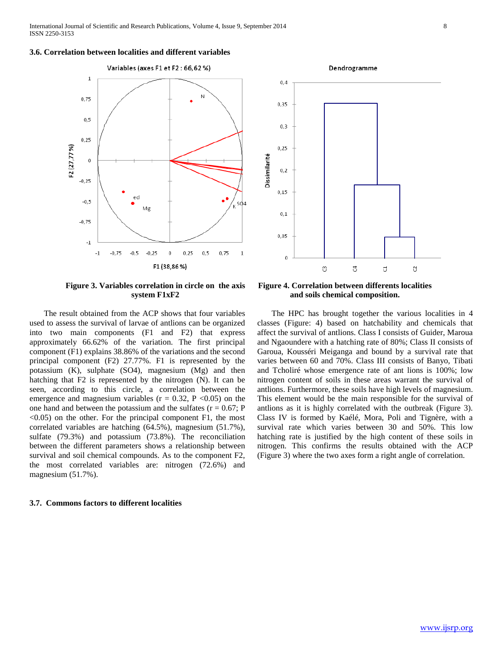### **3.6. Correlation between localities and different variables**





**Figure 3. Variables correlation in circle on the axis system F1xF2**

 The result obtained from the ACP shows that four variables used to assess the survival of larvae of antlions can be organized into two main components (F1 and F2) that express approximately 66.62% of the variation. The first principal component (F1) explains 38.86% of the variations and the second principal component (F2) 27.77%. F1 is represented by the potassium (K), sulphate (SO4), magnesium (Mg) and then hatching that F2 is represented by the nitrogen (N). It can be seen, according to this circle, a correlation between the emergence and magnesium variables ( $r = 0.32$ ,  $P < 0.05$ ) on the one hand and between the potassium and the sulfates  $(r = 0.67; P)$  $\leq$ 0.05) on the other. For the principal component F1, the most correlated variables are hatching (64.5%), magnesium (51.7%), sulfate (79.3%) and potassium (73.8%). The reconciliation between the different parameters shows a relationship between survival and soil chemical compounds. As to the component F2, the most correlated variables are: nitrogen (72.6%) and magnesium (51.7%).

### **3.7. Commons factors to different localities**

**Figure 4. Correlation between differents localities and soils chemical composition.**

 The HPC has brought together the various localities in 4 classes (Figure: 4) based on hatchability and chemicals that affect the survival of antlions. Class I consists of Guider, Maroua and Ngaoundere with a hatching rate of 80%; Class II consists of Garoua, Kousséri Meiganga and bound by a survival rate that varies between 60 and 70%. Class III consists of Banyo, Tibati and Tcholiré whose emergence rate of ant lions is 100%; low nitrogen content of soils in these areas warrant the survival of antlions. Furthermore, these soils have high levels of magnesium. This element would be the main responsible for the survival of antlions as it is highly correlated with the outbreak (Figure 3). Class IV is formed by Kaélé, Mora, Poli and Tignère, with a survival rate which varies between 30 and 50%. This low hatching rate is justified by the high content of these soils in nitrogen. This confirms the results obtained with the ACP (Figure 3) where the two axes form a right angle of correlation.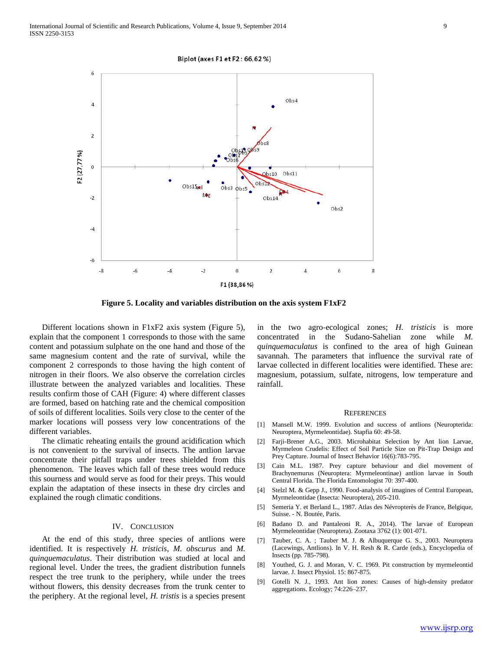



**Figure 5. Locality and variables distribution on the axis system F1xF2**

 Different locations shown in F1xF2 axis system (Figure 5), explain that the component 1 corresponds to those with the same content and potassium sulphate on the one hand and those of the same magnesium content and the rate of survival, while the component 2 corresponds to those having the high content of nitrogen in their floors. We also observe the correlation circles illustrate between the analyzed variables and localities. These results confirm those of CAH (Figure: 4) where different classes are formed, based on hatching rate and the chemical composition of soils of different localities. Soils very close to the center of the marker locations will possess very low concentrations of the different variables.

 The climatic reheating entails the ground acidification which is not convenient to the survival of insects. The antlion larvae concentrate their pitfall traps under trees shielded from this phenomenon. The leaves which fall of these trees would reduce this sourness and would serve as food for their preys. This would explain the adaptation of these insects in these dry circles and explained the rough climatic conditions.

#### IV. CONCLUSION

 At the end of this study, three species of antlions were identified. It is respectively *H. tristicis*, *M. obscurus* and *M. quinquemaculatus*. Their distribution was studied at local and regional level. Under the trees, the gradient distribution funnels respect the tree trunk to the periphery, while under the trees without flowers, this density decreases from the trunk center to the periphery. At the regional level, *H. tristis* is a species present in the two agro-ecological zones; *H. tristicis* is more concentrated in the Sudano-Sahelian zone while *M. quinquemaculatus* is confined to the area of high Guinean savannah. The parameters that influence the survival rate of larvae collected in different localities were identified. These are: magnesium, potassium, sulfate, nitrogens, low temperature and rainfall.

#### **REFERENCES**

- [1] Mansell M.W. 1999. Evolution and success of antlions (Neuropterida: Neuroptera, Myrmeleontidae). Stapfia 60: 49-58.
- [2] Farji-Brener A.G., 2003. Microhabitat Selection by Ant lion Larvae, Myrmeleon Crudelis: Effect of Soil Particle Size on Pit-Trap Design and Prey Capture. Journal of Insect Behavior 16(6):783-795.
- [3] Cain M.L. 1987. Prey capture behaviour and diel movement of Brachynemurus (Neuroptera: Myrmeleontinae) antlion larvae in South Central Florida. The Florida Entomologist 70: 397-400.
- [4] Stelzl M. & Gepp J., 1990. Food-analysis of imagines of Central European, Myrmeleontidae (Insecta: Neuroptera), 205-210.
- [5] Semeria Y. et Berland L., 1987. Atlas des Névropterès de France, Belgique, Suisse. - N. Boutée, Paris.
- [6] Badano D. and Pantaleoni R. A., 2014). The larvae of European Myrmeleontidae (Neuroptera). Zootaxa 3762 (1): 001-071.
- [7] Tauber, C. A. ; Tauber M. J. & Albuquerque G. S., 2003. Neuroptera (Lacewings, Antlions). In V. H. Resh & R. Carde (eds.), Encyclopedia of Insects (pp. 785-798).
- [8] Youthed, G. J. and Moran, V. C. 1969. Pit construction by myrmeleontid larvae. J. Insect Physiol. 15: 867-875.
- [9] Gotelli N. J., 1993. Ant lion zones: Causes of high-density predator aggregations. Ecology; 74:226–237.